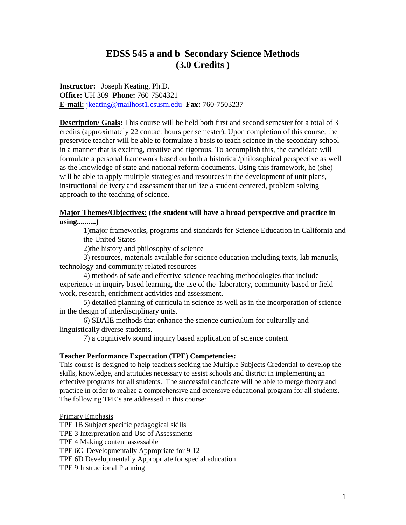# **EDSS 545 a and b Secondary Science Methods (3.0 Credits )**

**Instructor:** Joseph Keating, Ph.D. **Office:** UH 309 **Phone:** 760-7504321 **E-mail:** jkeating@mailhost1.csusm.edu **Fax:** 760**-**7503237

**Description/ Goals:** This course will be held both first and second semester for a total of 3 credits (approximately 22 contact hours per semester). Upon completion of this course, the preservice teacher will be able to formulate a basis to teach science in the secondary school in a manner that is exciting, creative and rigorous. To accomplish this, the candidate will formulate a personal framework based on both a historical/philosophical perspective as well as the knowledge of state and national reform documents. Using this framework, he (she) will be able to apply multiple strategies and resources in the development of unit plans, instructional delivery and assessment that utilize a student centered, problem solving approach to the teaching of science.

### **Major Themes/Objectives: (the student will have a broad perspective and practice in using..........)**

1)major frameworks, programs and standards for Science Education in California and the United States

2)the history and philosophy of science

3) resources, materials available for science education including texts, lab manuals, technology and community related resources

4) methods of safe and effective science teaching methodologies that include experience in inquiry based learning, the use of the laboratory, community based or field work, research, enrichment activities and assessment.

5) detailed planning of curricula in science as well as in the incorporation of science in the design of interdisciplinary units.

6) SDAIE methods that enhance the science curriculum for culturally and linguistically diverse students.

7) a cognitively sound inquiry based application of science content

### **Teacher Performance Expectation (TPE) Competencies:**

This course is designed to help teachers seeking the Multiple Subjects Credential to develop the skills, knowledge, and attitudes necessary to assist schools and district in implementing an effective programs for all students. The successful candidate will be able to merge theory and practice in order to realize a comprehensive and extensive educational program for all students. The following TPE's are addressed in this course:

### Primary Emphasis

TPE 1B Subject specific pedagogical skills TPE 3 Interpretation and Use of Assessments TPE 4 Making content assessable TPE 6C Developmentally Appropriate for 9-12 TPE 6D Developmentally Appropriate for special education TPE 9 Instructional Planning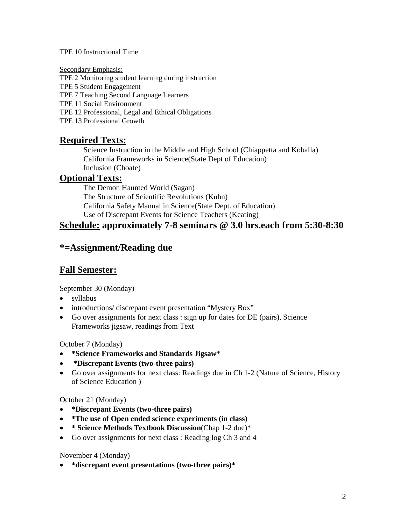### TPE 10 Instructional Time

Secondary Emphasis:

TPE 2 Monitoring student learning during instruction

TPE 5 Student Engagement

TPE 7 Teaching Second Language Learners

TPE 11 Social Environment

TPE 12 Professional, Legal and Ethical Obligations

TPE 13 Professional Growth

## **Required Texts:**

Science Instruction in the Middle and High School (Chiappetta and Koballa) California Frameworks in Science(State Dept of Education) Inclusion (Choate)

## **Optional Texts:**

The Demon Haunted World (Sagan) The Structure of Scientific Revolutions (Kuhn) California Safety Manual in Science(State Dept. of Education) Use of Discrepant Events for Science Teachers (Keating)

# **Schedule: approximately 7-8 seminars @ 3.0 hrs.each from 5:30-8:30**

# **\*=Assignment/Reading due**

## **Fall Semester:**

September 30 (Monday)

- syllabus
- introductions/ discrepant event presentation "Mystery Box"
- Go over assignments for next class : sign up for dates for DE (pairs), Science Frameworks jigsaw, readings from Text

## October 7 (Monday)

- **\*Science Frameworks and Standards Jigsaw**\*
- **\*Discrepant Events (two-three pairs)**
- Go over assignments for next class: Readings due in Ch 1-2 (Nature of Science, History of Science Education )

## October 21 (Monday)

- **\*Discrepant Events (two-three pairs)**
- **\*The use of Open ended science experiments (in class)**
- **\* Science Methods Textbook Discussion**(Chap 1-2 due)\*
- Go over assignments for next class : Reading log Ch 3 and 4

## November 4 (Monday)

• **\*discrepant event presentations (two-three pairs)\***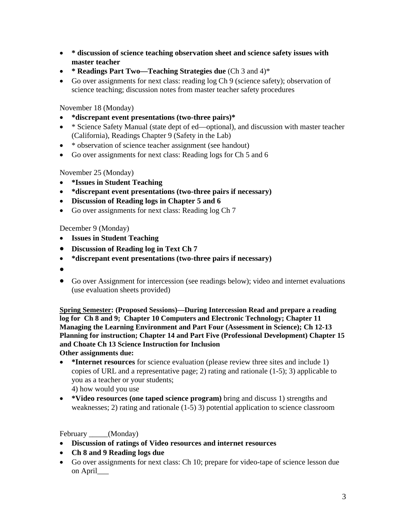- **\* discussion of science teaching observation sheet and science safety issues with master teacher**
- **\* Readings Part Two—Teaching Strategies due** (Ch 3 and 4)\*
- Go over assignments for next class: reading log Ch 9 (science safety); observation of science teaching; discussion notes from master teacher safety procedures

November 18 (Monday)

- **\*discrepant event presentations (two-three pairs)\***
- \* Science Safety Manual (state dept of ed—optional), and discussion with master teacher (California), Readings Chapter 9 (Safety in the Lab)
- \* observation of science teacher assignment (see handout)
- Go over assignments for next class: Reading logs for Ch 5 and 6

November 25 (Monday)

- **\*Issues in Student Teaching**
- **\*discrepant event presentations (two-three pairs if necessary)**
- **Discussion of Reading logs in Chapter 5 and 6**
- Go over assignments for next class: Reading log Ch 7

December 9 (Monday)

- **Issues in Student Teaching**
- **Discussion of Reading log in Text Ch 7**
- **\*discrepant event presentations (two-three pairs if necessary)**
- •
- Go over Assignment for intercession (see readings below); video and internet evaluations (use evaluation sheets provided)

**Spring Semester: (Proposed Sessions)—During Intercession Read and prepare a reading log for Ch 8 and 9; Chapter 10 Computers and Electronic Technology; Chapter 11 Managing the Learning Environment and Part Four (Assessment in Science); Ch 12-13 Planning for instruction; Chapter 14 and Part Five (Professional Development) Chapter 15 and Choate Ch 13 Science Instruction for Inclusion**

**Other assignments due:**

- **\*Internet resources** for science evaluation (please review three sites and include 1) copies of URL and a representative page; 2) rating and rationale (1-5); 3) applicable to you as a teacher or your students; 4) how would you use
- **\*Video resources (one taped science program)** bring and discuss 1) strengths and weaknesses; 2) rating and rationale (1-5) 3) potential application to science classroom

February \_\_\_\_\_(Monday)

- **Discussion of ratings of Video resources and internet resources**
- **Ch 8 and 9 Reading logs due**
- Go over assignments for next class: Ch 10; prepare for video-tape of science lesson due on April\_\_\_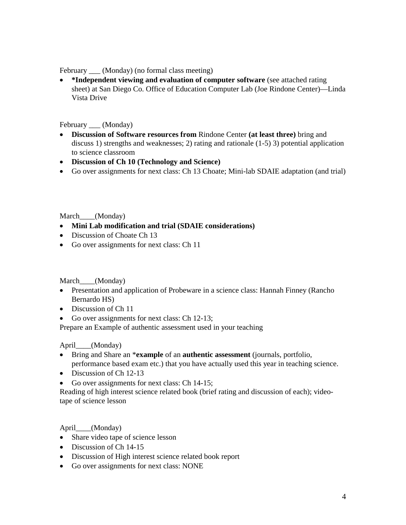February \_\_\_ (Monday) (no formal class meeting)

• **\*Independent viewing and evaluation of computer software** (see attached rating sheet) at San Diego Co. Office of Education Computer Lab (Joe Rindone Center)—Linda Vista Drive

February (Monday)

- **Discussion of Software resources from** Rindone Center **(at least three)** bring and discuss 1) strengths and weaknesses; 2) rating and rationale (1-5) 3) potential application to science classroom
- **Discussion of Ch 10 (Technology and Science)**
- Go over assignments for next class: Ch 13 Choate; Mini-lab SDAIE adaptation (and trial)

March (Monday)

- **Mini Lab modification and trial (SDAIE considerations)**
- Discussion of Choate Ch 13
- Go over assignments for next class: Ch 11

March\_\_\_\_(Monday)

- Presentation and application of Probeware in a science class: Hannah Finney (Rancho Bernardo HS)
- Discussion of Ch 11
- Go over assignments for next class: Ch 12-13:

Prepare an Example of authentic assessment used in your teaching

April (Monday)

- Bring and Share an \***example** of an **authentic assessment** (journals, portfolio, performance based exam etc.) that you have actually used this year in teaching science.
- Discussion of Ch 12-13
- Go over assignments for next class: Ch 14-15;

Reading of high interest science related book (brief rating and discussion of each); videotape of science lesson

April\_\_\_\_(Monday)

- Share video tape of science lesson
- Discussion of Ch 14-15
- Discussion of High interest science related book report
- Go over assignments for next class: NONE